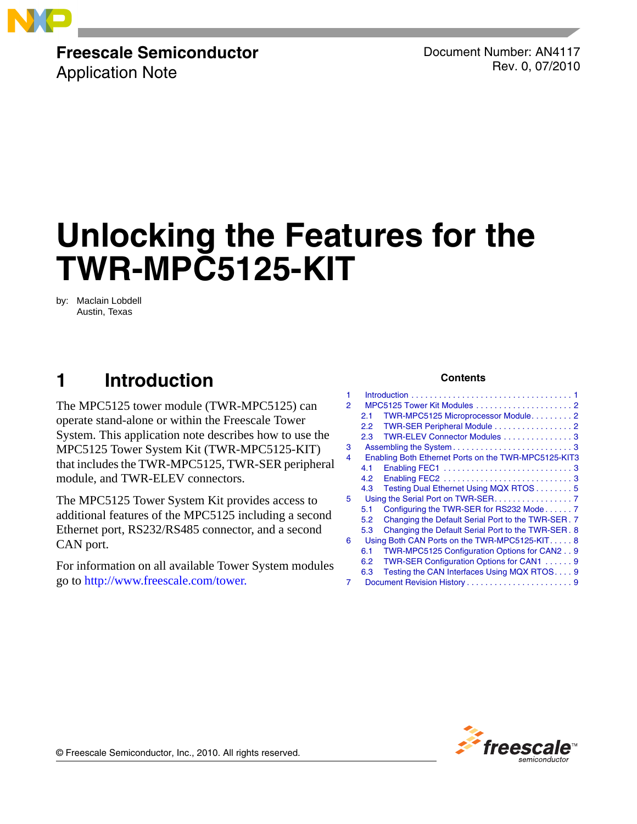

# **Freescale Semiconductor**

Application Note

Document Number: AN4117 Rev. 0, 07/2010

# **Unlocking the Features for the TWR-MPC5125-KIT**

by: Maclain Lobdell Austin, Texas

# <span id="page-0-0"></span>**1 Introduction**

The MPC5125 tower module (TWR-MPC5125) can operate stand-alone or within the Freescale Tower System. This application note describes how to use the MPC5125 Tower System Kit (TWR-MPC5125-KIT) that includes the TWR-MPC5125, TWR-SER peripheral module, and TWR-ELEV connectors.

The MPC5125 Tower System Kit provides access to additional features of the MPC5125 including a second Ethernet port, RS232/RS485 connector, and a second CAN port.

For information on all available Tower System modules go to http://www.freescale.com/tower.

#### **Contents**

| 1             |                                               |                                                      |
|---------------|-----------------------------------------------|------------------------------------------------------|
| $\mathcal{P}$ |                                               |                                                      |
|               | 2.1                                           | TWR-MPC5125 Microprocessor Module2                   |
|               | 2.2                                           | TWR-SER Peripheral Module 2                          |
|               | 2.3                                           | TWR-ELEV Connector Modules 3                         |
| 3             |                                               |                                                      |
| 4             |                                               | Enabling Both Ethernet Ports on the TWR-MPC5125-KIT3 |
|               | 4.1                                           |                                                      |
|               | 4.2                                           |                                                      |
|               | 4.3                                           | Testing Dual Ethernet Using MQX RTOS 5               |
| 5             | Using the Serial Port on TWR-SER. 7           |                                                      |
|               | 5.1                                           | Configuring the TWR-SER for RS232 Mode7              |
|               | 5.2                                           | Changing the Default Serial Port to the TWR-SER. 7   |
|               | 5.3                                           | Changing the Default Serial Port to the TWR-SER. 8   |
| 6             | Using Both CAN Ports on the TWR-MPC5125-KIT 8 |                                                      |
|               | 6.1                                           | TWR-MPC5125 Configuration Options for CAN2 9         |
|               | 6.2                                           | TWR-SER Configuration Options for CAN1 9             |
|               | 6.3                                           | Testing the CAN Interfaces Using MQX RTOS 9          |
|               |                                               |                                                      |
|               |                                               |                                                      |



© Freescale Semiconductor, Inc., 2010. All rights reserved.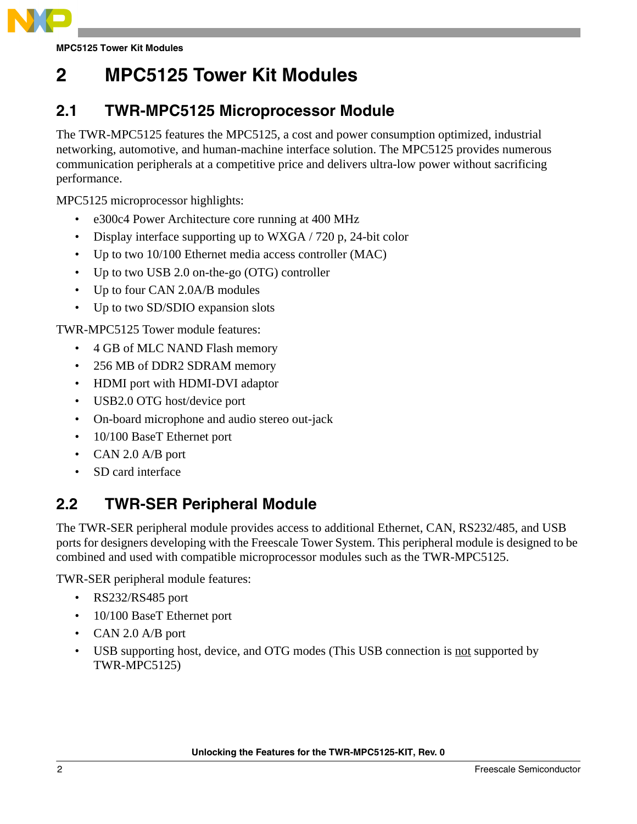

**MPC5125 Tower Kit Modules**

# <span id="page-1-0"></span>**2 MPC5125 Tower Kit Modules**

### <span id="page-1-1"></span>**2.1 TWR-MPC5125 Microprocessor Module**

The TWR-MPC5125 features the MPC5125, a cost and power consumption optimized, industrial networking, automotive, and human-machine interface solution. The MPC5125 provides numerous communication peripherals at a competitive price and delivers ultra-low power without sacrificing performance.

MPC5125 microprocessor highlights:

- e300c4 Power Architecture core running at 400 MHz
- Display interface supporting up to WXGA / 720 p, 24-bit color
- Up to two 10/100 Ethernet media access controller (MAC)
- Up to two USB 2.0 on-the-go (OTG) controller
- Up to four CAN 2.0A/B modules
- Up to two SD/SDIO expansion slots

TWR-MPC5125 Tower module features:

- 4 GB of MLC NAND Flash memory
- 256 MB of DDR2 SDRAM memory
- HDMI port with HDMI-DVI adaptor
- USB2.0 OTG host/device port
- On-board microphone and audio stereo out-jack
- 10/100 BaseT Ethernet port
- CAN 2.0 A/B port
- SD card interface

### <span id="page-1-2"></span>**2.2 TWR-SER Peripheral Module**

The TWR-SER peripheral module provides access to additional Ethernet, CAN, RS232/485, and USB ports for designers developing with the Freescale Tower System. This peripheral module is designed to be combined and used with compatible microprocessor modules such as the TWR-MPC5125.

TWR-SER peripheral module features:

- RS232/RS485 port
- 10/100 BaseT Ethernet port
- CAN 2.0 A/B port
- USB supporting host, device, and OTG modes (This USB connection is not supported by TWR-MPC5125)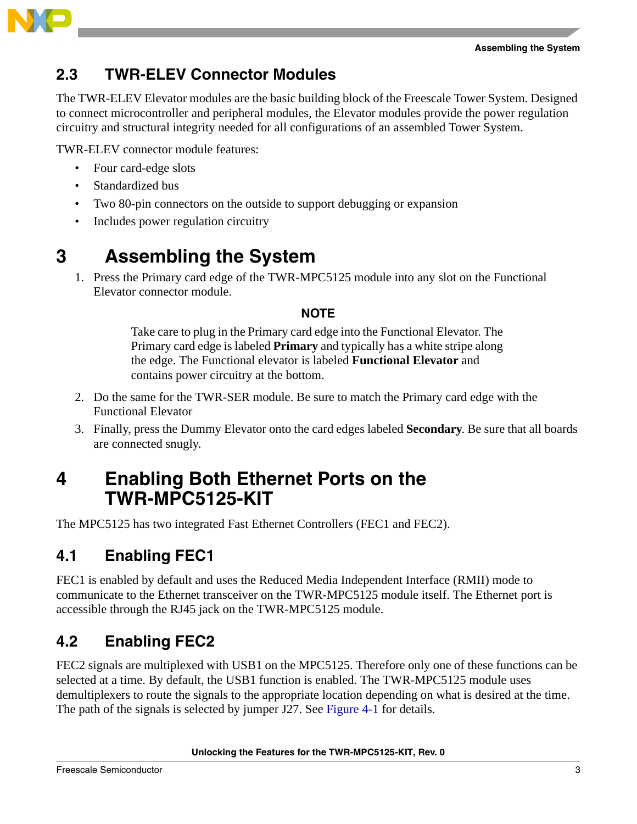



### <span id="page-2-0"></span>**2.3 TWR-ELEV Connector Modules**

The TWR-ELEV Elevator modules are the basic building block of the Freescale Tower System. Designed to connect microcontroller and peripheral modules, the Elevator modules provide the power regulation circuitry and structural integrity needed for all configurations of an assembled Tower System.

TWR-ELEV connector module features:

- Four card-edge slots
- Standardized bus
- Two 80-pin connectors on the outside to support debugging or expansion
- Includes power regulation circuitry

# <span id="page-2-1"></span>**3 Assembling the System**

1. Press the Primary card edge of the TWR-MPC5125 module into any slot on the Functional Elevator connector module.

### **NOTE**

Take care to plug in the Primary card edge into the Functional Elevator. The Primary card edge is labeled **Primary** and typically has a white stripe along the edge. The Functional elevator is labeled **Functional Elevator** and contains power circuitry at the bottom.

- 2. Do the same for the TWR-SER module. Be sure to match the Primary card edge with the Functional Elevator
- 3. Finally, press the Dummy Elevator onto the card edges labeled **Secondary**. Be sure that all boards are connected snugly.

## <span id="page-2-2"></span>**4 Enabling Both Ethernet Ports on the TWR-MPC5125-KIT**

The MPC5125 has two integrated Fast Ethernet Controllers (FEC1 and FEC2).

### <span id="page-2-3"></span>**4.1 Enabling FEC1**

FEC1 is enabled by default and uses the Reduced Media Independent Interface (RMII) mode to communicate to the Ethernet transceiver on the TWR-MPC5125 module itself. The Ethernet port is accessible through the RJ45 jack on the TWR-MPC5125 module.

### <span id="page-2-4"></span>**4.2 Enabling FEC2**

FEC2 signals are multiplexed with USB1 on the MPC5125. Therefore only one of these functions can be selected at a time. By default, the USB1 function is enabled. The TWR-MPC5125 module uses demultiplexers to route the signals to the appropriate location depending on what is desired at the time. The path of the signals is selected by jumper J27. See [Figure 4-1](#page-3-0) for details.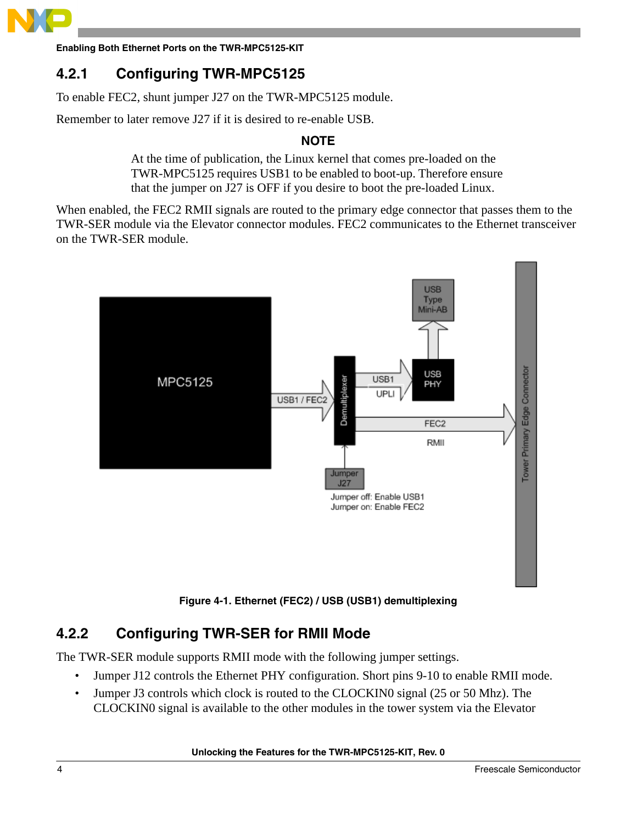

**Enabling Both Ethernet Ports on the TWR-MPC5125-KIT**

### **4.2.1 Configuring TWR-MPC5125**

To enable FEC2, shunt jumper J27 on the TWR-MPC5125 module.

Remember to later remove J27 if it is desired to re-enable USB.

### **NOTE**

At the time of publication, the Linux kernel that comes pre-loaded on the TWR-MPC5125 requires USB1 to be enabled to boot-up. Therefore ensure that the jumper on J27 is OFF if you desire to boot the pre-loaded Linux.

When enabled, the FEC2 RMII signals are routed to the primary edge connector that passes them to the TWR-SER module via the Elevator connector modules. FEC2 communicates to the Ethernet transceiver on the TWR-SER module.



**Figure 4-1. Ethernet (FEC2) / USB (USB1) demultiplexing**

### <span id="page-3-0"></span>**4.2.2 Configuring TWR-SER for RMII Mode**

The TWR-SER module supports RMII mode with the following jumper settings.

- Jumper J12 controls the Ethernet PHY configuration. Short pins 9-10 to enable RMII mode.
- Jumper J3 controls which clock is routed to the CLOCKIN0 signal (25 or 50 Mhz). The CLOCKIN0 signal is available to the other modules in the tower system via the Elevator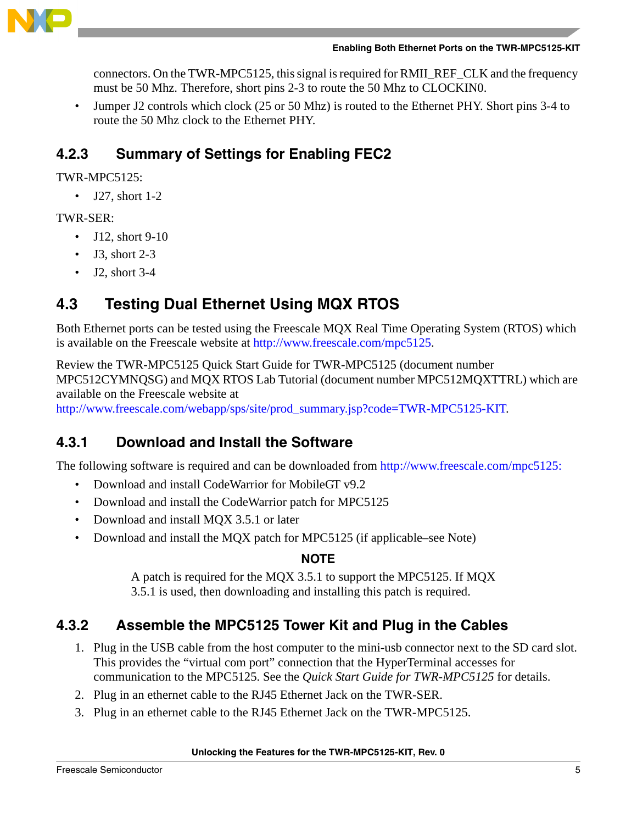

connectors. On the TWR-MPC5125, this signal is required for RMII\_REF\_CLK and the frequency must be 50 Mhz. Therefore, short pins 2-3 to route the 50 Mhz to CLOCKIN0.

• Jumper J2 controls which clock (25 or 50 Mhz) is routed to the Ethernet PHY. Short pins 3-4 to route the 50 Mhz clock to the Ethernet PHY.

### **4.2.3 Summary of Settings for Enabling FEC2**

TWR-MPC5125:

 $\bullet$  J27, short 1-2

### TWR-SER:

- J12, short 9-10
- J3, short 2-3
- [J2, short 3-4](http://www.freescale.com/webapp/sps/site/prod_summary.jsp?code=TWR-MPC5125-KIT)

### <span id="page-4-0"></span>**4.3 Testing Dual Ethernet Using MQX RTOS**

[Both Ethernet ports can be tested using the Freescale MQX Real Time Operating System \(RTOS\) which](http://www.freescale.com/webapp/sps/site/prod_summary.jsp?code=MPC5125&tid=VANMPC5125)  [is available on the Freescale website at h](http://www.freescale.com/webapp/sps/site/prod_summary.jsp?code=MPC5125&tid=VANMPC5125)ttp://www.freescale.com/mpc5125.

Review the TWR-MPC5125 Quick Start Guide for TWR-MPC5125 (document number [MPC512CYMNQSG\) and MQX RTOS Lab Tutorial \(document number MPC512MQXTTRL\) which are](http://www.freescale.com/webapp/sps/site/prod_summary.jsp?code=TWR-MPC5125-KIT
)  available on the Freescale website at

http://www.freescale.com/webapp/sps/site/prod\_summary.jsp?code=TWR-MPC5125-KIT.

### **4.3.1 Download and Install the Software**

The following software is required and can be downloaded from http://www.freescale.com/mpc5125:

- Download and install CodeWarrior for MobileGT v9.2
- Download and install the CodeWarrior patch for MPC5125
- Download and install MQX 3.5.1 or later
- Download and install the MQX patch for MPC5125 (if applicable–see Note)

### **NOTE**

A patch is required for the MQX 3.5.1 to support the MPC5125. If MQX 3.5.1 is used, then downloading and installing this patch is required.

## **4.3.2 Assemble the MPC5125 Tower Kit and Plug in the Cables**

- 1. Plug in the USB cable from the host computer to the mini-usb connector next to the SD card slot. This provides the "virtual com port" connection that the HyperTerminal accesses for communication to the MPC5125. See the *Quick Start Guide for TWR-MPC5125* for details.
- 2. Plug in an ethernet cable to the RJ45 Ethernet Jack on the TWR-SER.
- 3. Plug in an ethernet cable to the RJ45 Ethernet Jack on the TWR-MPC5125.

### **Unlocking the Features for the TWR-MPC5125-KIT, Rev. 0**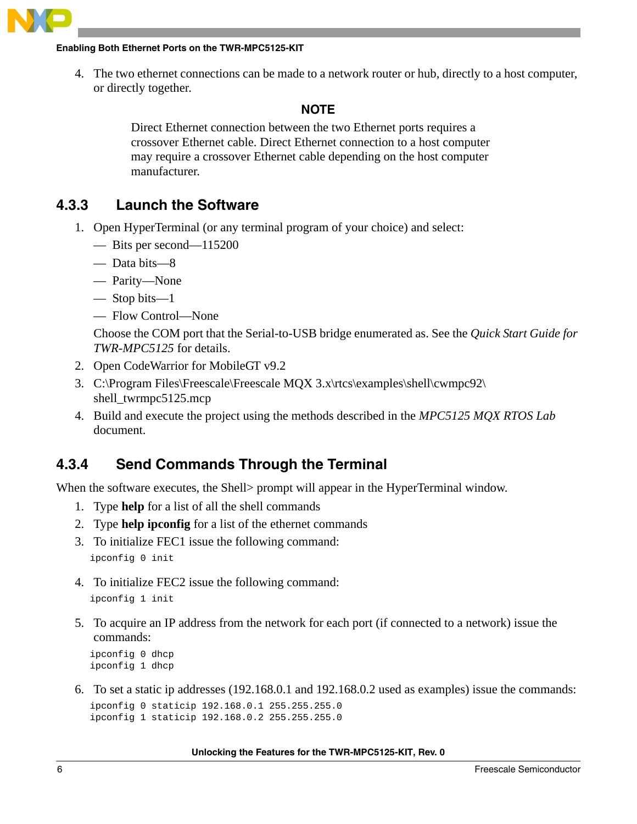

#### **Enabling Both Ethernet Ports on the TWR-MPC5125-KIT**

4. The two ethernet connections can be made to a network router or hub, directly to a host computer, or directly together.

#### **NOTE**

Direct Ethernet connection between the two Ethernet ports requires a crossover Ethernet cable. Direct Ethernet connection to a host computer may require a crossover Ethernet cable depending on the host computer manufacturer.

### **4.3.3 Launch the Software**

- 1. Open HyperTerminal (or any terminal program of your choice) and select:
	- Bits per second—115200
	- Data bits—8
	- Parity—None
	- Stop bits—1
	- Flow Control—None

Choose the COM port that the Serial-to-USB bridge enumerated as. See the *Quick Start Guide for TWR-MPC5125* for details.

- 2. Open CodeWarrior for MobileGT v9.2
- 3. C:\Program Files\Freescale\Freescale MQX 3.x\rtcs\examples\shell\cwmpc92\ shell\_twrmpc5125.mcp
- 4. Build and execute the project using the methods described in the *MPC5125 MQX RTOS Lab* document.

### **4.3.4 Send Commands Through the Terminal**

When the software executes, the Shell> prompt will appear in the HyperTerminal window.

- 1. Type **help** for a list of all the shell commands
- 2. Type **help ipconfig** for a list of the ethernet commands
- 3. To initialize FEC1 issue the following command: ipconfig 0 init
- 4. To initialize FEC2 issue the following command: ipconfig 1 init
- 5. To acquire an IP address from the network for each port (if connected to a network) issue the commands:

```
ipconfig 0 dhcp
ipconfig 1 dhcp
```
6. To set a static ip addresses (192.168.0.1 and 192.168.0.2 used as examples) issue the commands: ipconfig 0 staticip 192.168.0.1 255.255.255.0

```
ipconfig 1 staticip 192.168.0.2 255.255.255.0
```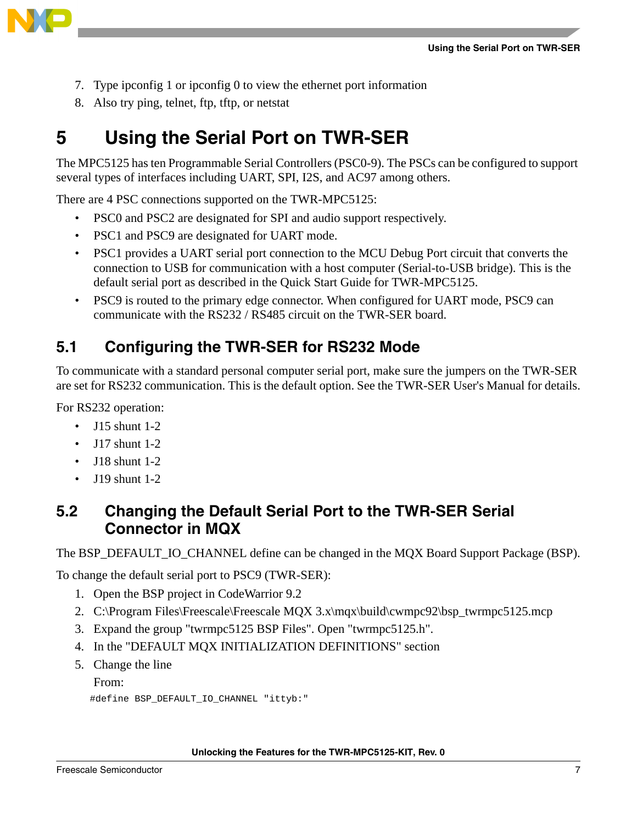

- 7. Type ipconfig 1 or ipconfig 0 to view the ethernet port information
- 8. Also try ping, telnet, ftp, tftp, or netstat

# <span id="page-6-0"></span>**5 Using the Serial Port on TWR-SER**

The MPC5125 has ten Programmable Serial Controllers (PSC0-9). The PSCs can be configured to support several types of interfaces including UART, SPI, I2S, and AC97 among others.

There are 4 PSC connections supported on the TWR-MPC5125:

- PSC0 and PSC2 are designated for SPI and audio support respectively.
- PSC1 and PSC9 are designated for UART mode.
- PSC1 provides a UART serial port connection to the MCU Debug Port circuit that converts the connection to USB for communication with a host computer (Serial-to-USB bridge). This is the default serial port as described in the Quick Start Guide for TWR-MPC5125.
- PSC9 is routed to the primary edge connector. When configured for UART mode, PSC9 can communicate with the RS232 / RS485 circuit on the TWR-SER board.

### <span id="page-6-1"></span>**5.1 Configuring the TWR-SER for RS232 Mode**

To communicate with a standard personal computer serial port, make sure the jumpers on the TWR-SER are set for RS232 communication. This is the default option. See the TWR-SER User's Manual for details.

For RS232 operation:

- $\bullet$  J15 shunt 1-2
- J17 shunt 1-2
- J18 shunt 1-2
- J19 shunt 1-2

### <span id="page-6-2"></span>**5.2 Changing the Default Serial Port to the TWR-SER Serial Connector in MQX**

The BSP\_DEFAULT\_IO\_CHANNEL define can be changed in the MQX Board Support Package (BSP).

To change the default serial port to PSC9 (TWR-SER):

- 1. Open the BSP project in CodeWarrior 9.2
- 2. C:\Program Files\Freescale\Freescale MQX 3.x\mqx\build\cwmpc92\bsp\_twrmpc5125.mcp
- 3. Expand the group "twrmpc5125 BSP Files". Open "twrmpc5125.h".
- 4. In the "DEFAULT MQX INITIALIZATION DEFINITIONS" section
- 5. Change the line

From:

```
#define BSP_DEFAULT_IO_CHANNEL "ittyb:"
```
**Unlocking the Features for the TWR-MPC5125-KIT, Rev. 0**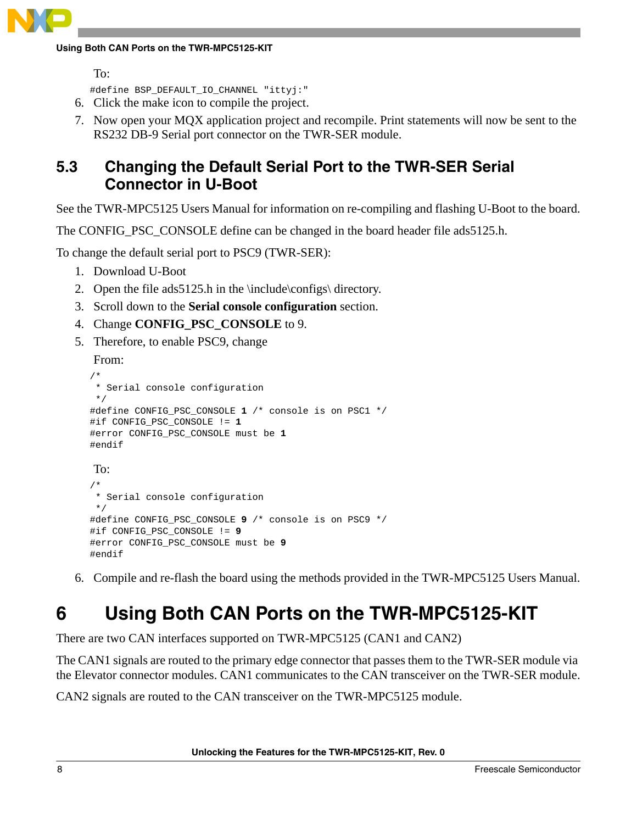#### **Using Both CAN Ports on the TWR-MPC5125-KIT**

```
To:
```
#define BSP\_DEFAULT\_IO\_CHANNEL "ittyj:"

- 6. Click the make icon to compile the project.
- 7. Now open your MQX application project and recompile. Print statements will now be sent to the RS232 DB-9 Serial port connector on the TWR-SER module.

### <span id="page-7-0"></span>**5.3 Changing the Default Serial Port to the TWR-SER Serial Connector in U-Boot**

See the TWR-MPC5125 Users Manual for information on re-compiling and flashing U-Boot to the board.

The CONFIG PSC CONSOLE define can be changed in the board header file ads5125.h.

To change the default serial port to PSC9 (TWR-SER):

- 1. Download U-Boot
- 2. Open the file ads5125.h in the \include\configs\ directory.
- 3. Scroll down to the **Serial console configuration** section.
- 4. Change **CONFIG\_PSC\_CONSOLE** to 9.

#error CONFIG\_PSC\_CONSOLE must be **9**

5. Therefore, to enable PSC9, change

From:

#endif

```
/*
  * Serial console configuration
  */
#define CONFIG_PSC_CONSOLE 1 /* console is on PSC1 */
#if CONFIG_PSC_CONSOLE != 1
#error CONFIG_PSC_CONSOLE must be 1
#endif
To:
/*
  * Serial console configuration
  */
#define CONFIG_PSC_CONSOLE 9 /* console is on PSC9 */
#if CONFIG_PSC_CONSOLE != 9
```
6. Compile and re-flash the board using the methods provided in the TWR-MPC5125 Users Manual.

# <span id="page-7-1"></span>**6 Using Both CAN Ports on the TWR-MPC5125-KIT**

There are two CAN interfaces supported on TWR-MPC5125 (CAN1 and CAN2)

The CAN1 signals are routed to the primary edge connector that passes them to the TWR-SER module via the Elevator connector modules. CAN1 communicates to the CAN transceiver on the TWR-SER module.

CAN2 signals are routed to the CAN transceiver on the TWR-MPC5125 module.

**Unlocking the Features for the TWR-MPC5125-KIT, Rev. 0**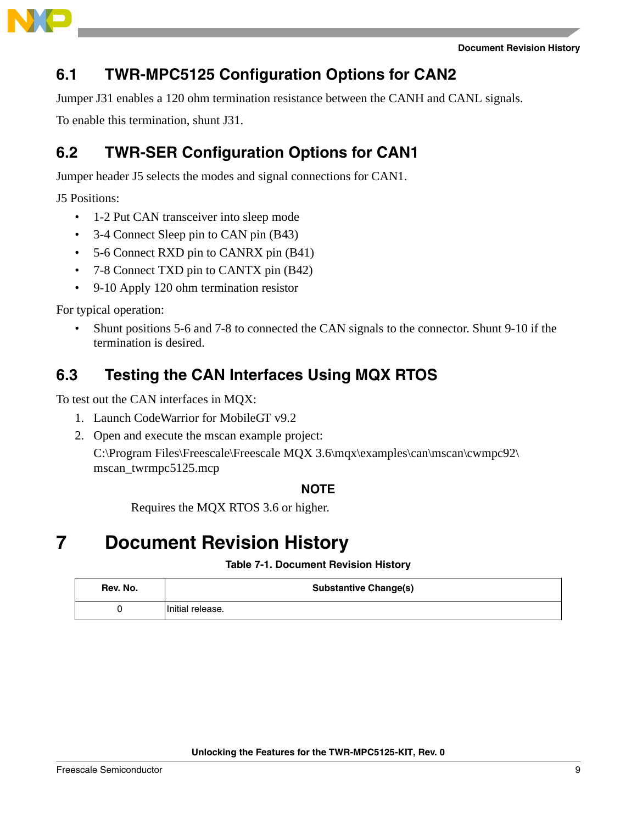

### <span id="page-8-0"></span>**6.1 TWR-MPC5125 Configuration Options for CAN2**

Jumper J31 enables a 120 ohm termination resistance between the CANH and CANL signals.

To enable this termination, shunt J31.

### <span id="page-8-1"></span>**6.2 TWR-SER Configuration Options for CAN1**

Jumper header J5 selects the modes and signal connections for CAN1.

J5 Positions:

- 1-2 Put CAN transceiver into sleep mode
- 3-4 Connect Sleep pin to CAN pin (B43)
- 5-6 Connect RXD pin to CANRX pin (B41)
- 7-8 Connect TXD pin to CANTX pin (B42)
- 9-10 Apply 120 ohm termination resistor

For typical operation:

• Shunt positions 5-6 and 7-8 to connected the CAN signals to the connector. Shunt 9-10 if the termination is desired.

### <span id="page-8-2"></span>**6.3 Testing the CAN Interfaces Using MQX RTOS**

To test out the CAN interfaces in MQX:

- 1. Launch CodeWarrior for MobileGT v9.2
- 2. Open and execute the mscan example project:

 $C:\nProgram Files\Freescale\Freescale MQX 3.6\mqx\exmples\can\mscan\cump2\n$ mscan\_twrmpc5125.mcp

### **NOTE**

Requires the MQX RTOS 3.6 or higher.

# <span id="page-8-3"></span>**7 Document Revision History**

**Table 7-1. Document Revision History**

| Rev. No. | <b>Substantive Change(s)</b> |
|----------|------------------------------|
|          | Initial release.             |